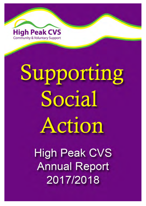

# Supporting Social Action

**High Peak CVS Annual Report** 2017/2018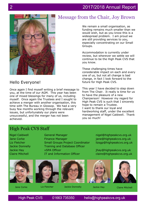

# Hello Everyone!

Once again I find myself writing a brief message to you, at the time of our AGM. This year has been one of mixed blessings for many of us, including myself. Once again the Trustees and I sought to achieve a merger with another organisation, this time with The Bureau in Glossop. We had a very busy few months working through the relevant issues, but unfortunately our plans were unsuccessful, and the merger has not been achieved.

# Message from the Chair, Joy Brown

We remain a small organisation, as funding remains much smaller than we would wish, but as you know this is a widespread problem. I am proud we are still providing services to you, especially concentrating on our Small Groups.

Accommodation is currently under review, but wherever we settle we will continue to be the High Peak CVS that you know.

These challenging times have considerable impact on each and every one of us, but not all change is bad change, in fact I look forward to the future for High Peak CVS.

This year I have decided to step down from The Chair. It really is time for us to have the pleasure of a new Chairperson! However my regard for High Peak CVS is such that I sincerely hope to remain a Trustee. I want to thank our loyal and hardworking staff, under the excellent management of Nigel Caldwell. Thank you so much!

> nigel@highpeakcvs.org.uk jane@highpeakcvs.org.uk lizsgp@highpeakcvs.org.uk

> jhay@highpeakcvs.org.uk claire@highpeakcvs.org.uk

# High Peak CVS Staff

Nigel Caldwell Jane Corke Liz Fletcher Jackie Donnelly Jackie Hay Claire Mitchell









**High Peak CVS** 

01663 735350

hello@highpeakcvs.org.uk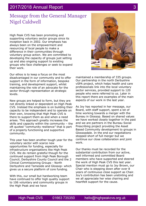# 2017/2018 Annual Report

# Message from the General Manager Nigel Caldwell

High Peak CVS has been promoting and supporting voluntary sector groups since its inception back in 2002. Our emphasis has always been on the empowerment and resourcing of local people to make a difference in their communities through voluntary group action. We are committed to developing the capacity of groups just setting up and also ongoing support to existing groups who face challenges or seek to expand their work.

Our ethos is to keep a focus on the most disadvantaged in our community and to offer support in the form of information, bespoke training, and development support, whilst maintaining the role of an advocate for the sector through representation at strategic levels.

New groups are helped to form, but they are not directly linked or dependent on High Peak CVS. Instead the emphasis is on building their capacity to be independent and to operate on their own, knowing that High Peak CVS is there to support them as and when a need arises. This approach greatly increases the skills and capacity within the community – the oft quoted "community resilience" that is part of a properly functioning and supportive community.

This year has been another tough year for the voluntary sector with scarce new opportunities for funding, especially for infrastructure organisations like High Peak CVS. We do remain grateful though for the continued support from High Peak Borough Council, Derbyshire County Council and the 2 Clinical Commissioning Groups - North Derbyshire and Tameside and Glossop- which gives us a secure platform of core funding.

With this, our small but hardworking team have continued to offer high quality support to 106 voluntary and community groups in the High Peak and we have



maintained a membership of 335 groups. Our partnership in the north Derbyshire vSPA project, which helps health and care professionals link into the local voluntary sector services, provided support to 120 people who were referred to us. Later in this report there are examples of the main aspects of our work in the last year.

As Joy has reported in her message, our Board, with staff support, spent a lot of time working towards a merger with the Bureau in Glossop. Based on shared values we have worked closely together in the past and we are partners in the Bureau Social Prescribing project providing the Asset Based Community development to groups in Glossopdale. In the end our negotiations stopped short of full merger but we continue our close collaboration and joint work.

Our thanks must be recorded for the substantial contribution from our active, well informed and committed Board members who have supported and steered the work of High Peak CVS this last year. Special mention must go to Joy Brown, our Chair who is stepping down after over 8 years of continuous close support as Chair. Joy's contribution has been unstinting and we all appreciate her wise chairing and heartfelt support for the cause.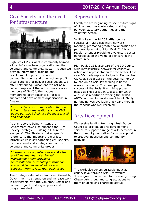# Civil Society and the need for infrastructure



High Peak CVS is what is commonly termed a local infrastructure organisation for the voluntary and community sector. As such we provide information, training and development support to charities, community groups and other not for profit organisations that deliver social action. We offer networking, liaison and we act as a voice to represent the sector. We are also members of NAVCA, the national membership body specifically for local support and development organisations in England.

*"It is the lines of communication that an infrastructure organisation such as CVS opens up, that I think are the most crucial and beneficial."*

As this report is being written, the Government have just launched the "Civil Society Strategy – Building a Future for everyone". The Strategy makes specific reference to the important role of local infrastructure in strengthening civil society, by operational and strategic support to voluntary and community groups.

*"Infrastructure organisations are like the additional member of a charity's Management team providing representation, distributing information and providing impartial advice and support." From a local High Peak group* 

The Strategy sets out a clear commitment by Government to strengthen and increase work in partnership with the Voluntary Sector and commit to joint working on policy and programme design.

# Representation

Locally we are beginning to see positive signs of closer and more integrated working between statutory authorities and the voluntary sector.

In High Peak the **PLACE alliance** is a successful multi-disciplinary network meeting, promoting greater collaboration and partnership working. High Peak CVS is a regular attender providing a voluntary sector perspective on the value of self care in the community.

High Peak CVS is also part of the 3D County wide infrastructure network for collective action and representation for the sector. Last year 3D made representations to Derbyshire CC Adult Social Care on the potential for 3D to lead on a Social Prescribing initiative across the county. This drew partly on the success of the Social Prescribing project based at The Bureau in Glossop, for which our CVS is a partner providing the skilled ABCD community development input. Sadly no funding was available that year although the concept was well received.

# Arts Development

We receive funding from High Peak Borough Council to provide an arts development service to support a range of arts activities in the community, as well as focus on support to creative industries and community festivals



The work also covers strategic input at county level through Arts- Derbyshire. It was great to offer help to the ever growing Chapel Arts group and congratulations to them on achieving charitable status.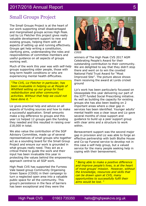# 2017/2018 Annual Report

# Small Groups Project

The Small Groups Project is at the heart of our work supporting small disadvantaged and marginalised groups across High Peak. Led by Liz Fletcher this project gives really valuable development support to new and existing groups, helping them with all aspects of setting up and running effectively. Groups get help writing a constitution, clarifying aims, understanding the roles and responsibilities of committee members and useful guidance on all aspects of groups working well.

Much of the work this year was with self-help groups supporting older people, those with long term health conditions or who are experiencing mental health difficulties.

*"The CVS, Liz Fletcher in particular, has been invaluable in helping us at People of Whitfield setting up our group for food redistribution and other community activities. Without that help we could not have done it. "*

Liz gives practical help and advice on all aspects of funding sources and how to make a successful application. Small amounts make a big difference to groups and this year Liz helped 12 groups gain the funding they needed and this resulted in raising over £18,000 in total.

We also value the contribution of the SGP Advisory Committee, made up of several representatives of small groups who together act as a sounding board for the Small Group Project and ensure our work is grounded in what groups really need. They act as a critical friend to guide the work and their input has been invaluable this year in protecting the values behind the empowering approach central to all SGP work.

High Peak CVS has supported the Furness Vale based group Community Organising Green Space (COGS) in their campaign to turn a neglected open area into a valuable public space for all the community. This group's persistence in the face of barriers has been exceptional and they were the



*COGS* 

winners of The High Peak CVS 2017 AGM Celebrating People's Award for their outstanding contribution to their community. We are delighted to say that they didn't stop there and went on to win the coveted National Field Trust Award for "Most Improved Site". The picture above shows them receiving the award at Lords cricket ground

Liz's work has been particularly focussed on Glossopdale this year delivering our part of the ICFT funded Social Prescribing initiative. As well as building the capacity for existing groups she has also been leading on 2 important areas where a clear gap in services has been identified. Younger adults' mental health was a clear issue and Liz gave several months of close support and guidance to build up a peer support group with clear aims and a structure to work within.

Bereavement support was the second major gap in provision and Liz was able to forge an effective partnership with both Blythe House and Co-op Funeral service to develop not in this case a self-help group, but a valued service for the many people seeking help in coping with their bereavement.

*" Being able to make a positive difference and improve people's lives, is at the heart of most groups' mission. However, without the knowledge, resources and skills that can be drawn upon at CVS, many opportunities to successfully fulfil their aims would be lost. "*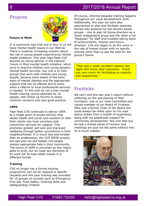# 2017/2018 Annual Report

# Projects

### **Future in Mind**

It is commonly said that one in four of us will have mental health issues in our lifetime. There is however increasing concern about the rise in young people experiencing mental health problems. This year High Peak CVS became an active partner in the national Future in Mind mental health initiative, which aims to improve children and young people's mental health services. Our role is to help groups that work with children and young people, become more aware of the early signs of mental distress and the appropriate support that can be offered and to know when a referral to local professional services is needed. To this end we ran a free mental health training course attended by 15 people, with follow up forums to share common concerns and also good practice.

### **vSPA**

High Peak CVS continued to deliver vSPA as a single point of access service, that allows health and social care workers to refer their clients into local voluntary and community services for support. This promotes greater self care and improved wellbeing through better connections in their neighbourhoods. It is much less well funded than its predecessor, the CVS WRAP project, but last year we still helped 120 people receive appropriate help in their community. The future of vSPA is uncertain as this report goes to print, but we hope key elements of its work will be kept albeit maybe in a different format.

### **Training**

CVS no longer has a formal training programme, but we do respond to specific requests and this year training was provided for 15 groups on courses such as Emergency First Aid, Food Safety, Chairing skills and Safeguarding Children.

Of course, informal bespoke training happens throughout our usual development work. Additionally, this year we were also approached to plan and facilitate separate Review day sessions for two Buxton based groups – one to plan its future direction as a newly independent group and the other a full "Awayday" for staff and trustees taking stock of achievements, mission and future direction. CVS are happy to do this work in the role of honest broker with no specific interest other than to see the best for the group's future.

*"That was a really excellent session last night with some clear outcomes. Thank you very much for facilitating so expertly and supportively."*

# Footnote

We can't end this last year's report without reflecting on the sad passing of Mike Crompton, one of our most committed and valued member of our Board of Trustees. Mike was a former Chair of the Board and could always be relied upon for his wise advice drawn from a wealth of experience, along with his passionate support for community development. Not only that but he had a wicked sense of humour and meetings are just not the same without him: he is much missed.



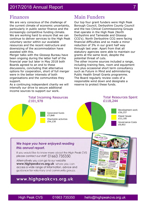# Finances

We are very conscious of the challenge of the current climate of economic uncertainty, particularly in public sector finance and the increasingly competitive funding climate. We are working hard to ensure that we can continue to deliver services to the High Peak voluntary sector within our available resources and the recent restructure and downsizing of the accommodation have assisted with this.

Merger talks with the Glossop Bureau have been ongoing during the latter half of the financial year but later in May 2018 both Boards agreed to an end to these discussions, concluding that alternative options for cooperation, short of full merger were in the better interests of both organisations and the communities they support.

As a continuing independent charity we will intensify our drive to secure additional income sources to support our work.

# Main Funders

Our top four grant funders were High Peak Borough Council, Derbyshire County Council and the two Clinical Commissioning Groups that operate in the High Peak (North Derbyshire and Tameside and Glossop CCG's). North Derbyshire CCG were facing financial difficulties and so made a minor reduction of 3% in our grant half way through last year. Apart from that all statutory agencies were able to maintain our grants at the same level, despite the potential threat of cuts.

The other income sources included a range, including training fees, room and equipment hire plus occasional short term consultancy such as Future in Mind and administering Public Health Small Grants programme. The Board regularly review costs of a responsible wind down and designate a reserve to protect these funds.

### **Total Incoming Resources** £101,978



### **Total Resources Spent** £118,244



## We hope you have enjoyed reading this annual report.

If you would like to know more about the High Peak CVS please contact our staff 01663 735350.

Alternatively you can go to our website www.highpeakcvs.org.uk where you can access a wide range of information, advice and auidance for voluntary and community aroups.

# www.highpeakcvs.org.uk